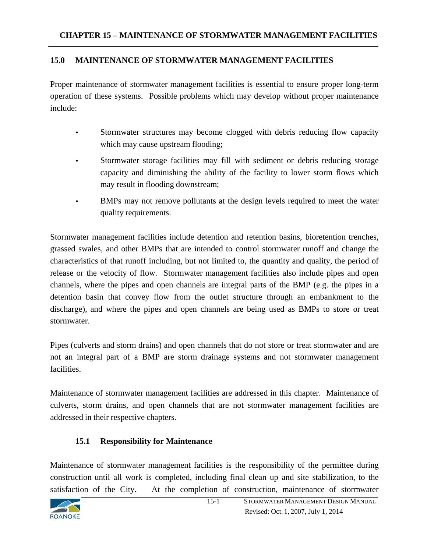## **15.0 MAINTENANCE OF STORMWATER MANAGEMENT FACILITIES**

Proper maintenance of stormwater management facilities is essential to ensure proper long-term operation of these systems. Possible problems which may develop without proper maintenance include:

- Stormwater structures may become clogged with debris reducing flow capacity which may cause upstream flooding;
- Stormwater storage facilities may fill with sediment or debris reducing storage capacity and diminishing the ability of the facility to lower storm flows which may result in flooding downstream;
- BMPs may not remove pollutants at the design levels required to meet the water quality requirements.

Stormwater management facilities include detention and retention basins, bioretention trenches, grassed swales, and other BMPs that are intended to control stormwater runoff and change the characteristics of that runoff including, but not limited to, the quantity and quality, the period of release or the velocity of flow. Stormwater management facilities also include pipes and open channels, where the pipes and open channels are integral parts of the BMP (e.g. the pipes in a detention basin that convey flow from the outlet structure through an embankment to the discharge), and where the pipes and open channels are being used as BMPs to store or treat stormwater.

Pipes (culverts and storm drains) and open channels that do not store or treat stormwater and are not an integral part of a BMP are storm drainage systems and not stormwater management facilities.

Maintenance of stormwater management facilities are addressed in this chapter. Maintenance of culverts, storm drains, and open channels that are not stormwater management facilities are addressed in their respective chapters.

## **15.1 Responsibility for Maintenance**

Maintenance of stormwater management facilities is the responsibility of the permittee during construction until all work is completed, including final clean up and site stabilization, to the satisfaction of the City. At the completion of construction, maintenance of stormwater

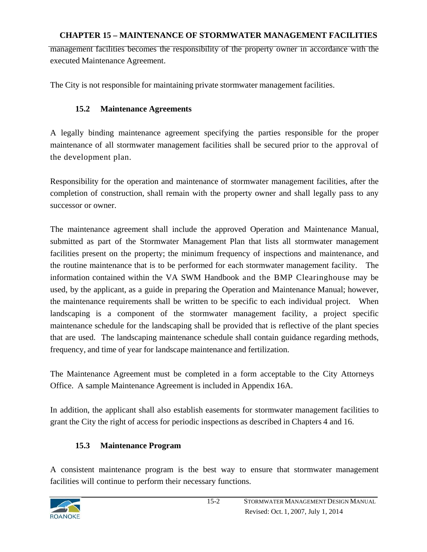## **CHAPTER 15 – MAINTENANCE OF STORMWATER MANAGEMENT FACILITIES**

management facilities becomes the responsibility of the property owner in accordance with the executed Maintenance Agreement.

The City is not responsible for maintaining private stormwater management facilities.

## **15.2 Maintenance Agreements**

A legally binding maintenance agreement specifying the parties responsible for the proper maintenance of all stormwater management facilities shall be secured prior to the approval of the development plan.

Responsibility for the operation and maintenance of stormwater management facilities, after the completion of construction, shall remain with the property owner and shall legally pass to any successor or owner.

The maintenance agreement shall include the approved Operation and Maintenance Manual, submitted as part of the Stormwater Management Plan that lists all stormwater management facilities present on the property; the minimum frequency of inspections and maintenance, and the routine maintenance that is to be performed for each stormwater management facility. The information contained within the VA SWM Handbook and the BMP Clearinghouse may be used, by the applicant, as a guide in preparing the Operation and Maintenance Manual; however, the maintenance requirements shall be written to be specific to each individual project. When landscaping is a component of the stormwater management facility, a project specific maintenance schedule for the landscaping shall be provided that is reflective of the plant species that are used. The landscaping maintenance schedule shall contain guidance regarding methods, frequency, and time of year for landscape maintenance and fertilization.

The Maintenance Agreement must be completed in a form acceptable to the City Attorneys Office. A sample Maintenance Agreement is included in Appendix 16A.

In addition, the applicant shall also establish easements for stormwater management facilities to grant the City the right of access for periodic inspections as described in Chapters 4 and 16.

## **15.3 Maintenance Program**

A consistent maintenance program is the best way to ensure that stormwater management facilities will continue to perform their necessary functions.

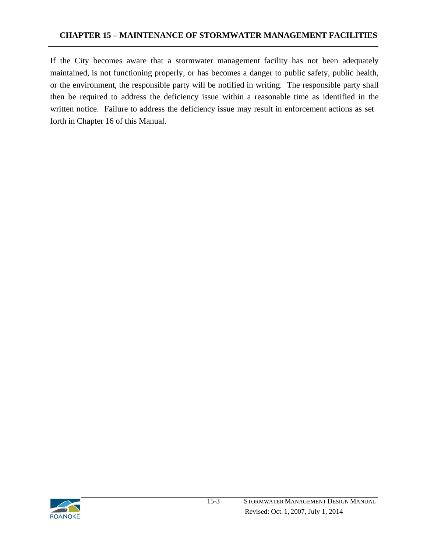If the City becomes aware that a stormwater management facility has not been adequately maintained, is not functioning properly, or has becomes a danger to public safety, public health, or the environment, the responsible party will be notified in writing. The responsible party shall then be required to address the deficiency issue within a reasonable time as identified in the written notice. Failure to address the deficiency issue may result in enforcement actions as set forth in Chapter 16 of this Manual.

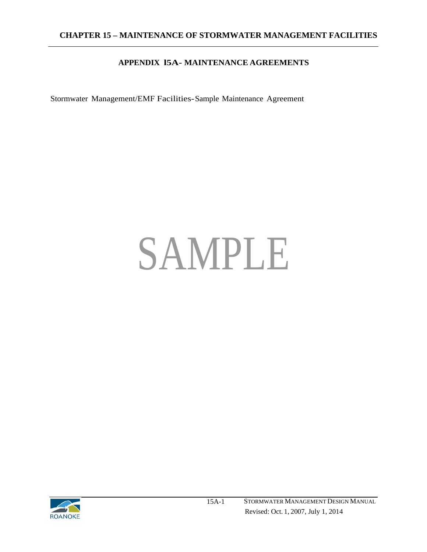## **APPENDIX l5A- MAINTENANCE AGREEMENTS**

Stormwater Management/EMF Facilities- Sample Maintenance Agreement

## SAMPLE

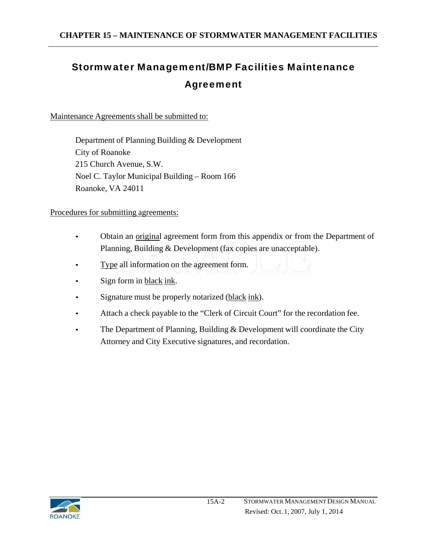## Stormwater Management/BMP Facilities Maintenance Agreement

Maintenance Agreements shall be submitted to:

Department of Planning Building & Development City of Roanoke 215 Church Avenue, S.W. Noel C. Taylor Municipal Building – Room 166 Roanoke, VA 24011

Procedures for submitting agreements:

- Obtain an original agreement form from this appendix or from the Department of Planning, Building & Development (fax copies are unacceptable).
- Type all information on the agreement form.
- Sign form in black ink.
- Signature must be properly notarized (black ink).
- Attach a check payable to the "Clerk of Circuit Court" for the recordation fee.
- The Department of Planning, Building  $&$  Development will coordinate the City Attorney and City Executive signatures, and recordation.

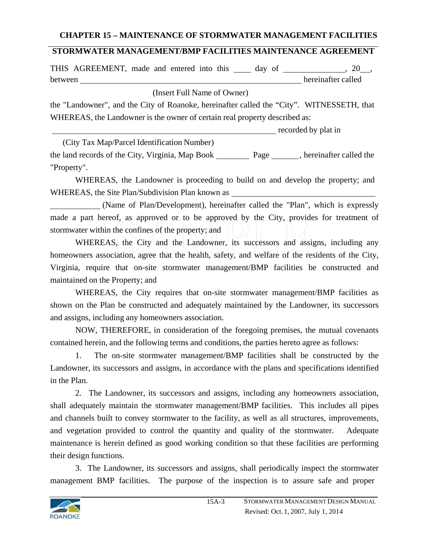## **CHAPTER 15 – MAINTENANCE OF STORMWATER MANAGEMENT FACILITIES**

## **STORMWATER MANAGEMENT/BMP FACILITIES MAINTENANCE AGREEMENT**

THIS AGREEMENT, made and entered into this 10 day of 10 million and 20 million. between hereinafter called

(Insert Full Name of Owner)

the "Landowner", and the City of Roanoke, hereinafter called the "City". WITNESSETH, that WHEREAS, the Landowner is the owner of certain real property described as:

recorded by plat in

(City Tax Map/Parcel Identification Number)

the land records of the City, Virginia, Map Book Page hereinafter called the "Property".

WHEREAS, the Landowner is proceeding to build on and develop the property; and WHEREAS, the Site Plan/Subdivision Plan known as

 (Name of Plan/Development), hereinafter called the "Plan", which is expressly made a part hereof, as approved or to be approved by the City, provides for treatment of stormwater within the confines of the property; and

WHEREAS, the City and the Landowner, its successors and assigns, including any homeowners association, agree that the health, safety, and welfare of the residents of the City, Virginia, require that on-site stormwater management/BMP facilities be constructed and maintained on the Property; and

WHEREAS, the City requires that on-site stormwater management/BMP facilities as shown on the Plan be constructed and adequately maintained by the Landowner, its successors and assigns, including any homeowners association.

NOW, THEREFORE, in consideration of the foregoing premises, the mutual covenants contained herein, and the following terms and conditions, the parties hereto agree as follows:

1. The on-site stormwater management/BMP facilities shall be constructed by the Landowner, its successors and assigns, in accordance with the plans and specifications identified in the Plan.

2. The Landowner, its successors and assigns, including any homeowners association, shall adequately maintain the stormwater management/BMP facilities. This includes all pipes and channels built to convey stormwater to the facility, as well as all structures, improvements, and vegetation provided to control the quantity and quality of the stormwater. Adequate maintenance is herein defined as good working condition so that these facilities are performing their design functions.

3. The Landowner, its successors and assigns, shall periodically inspect the stormwater management BMP facilities. The purpose of the inspection is to assure safe and proper

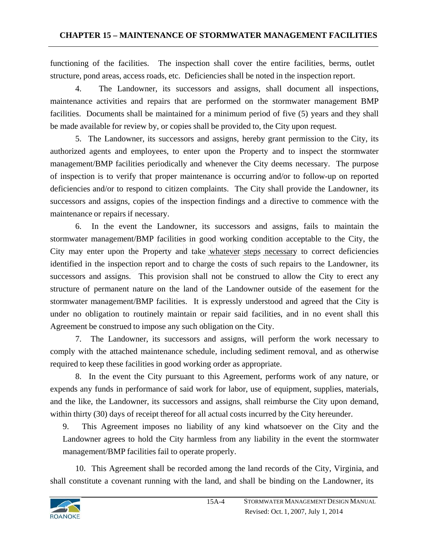functioning of the facilities. The inspection shall cover the entire facilities, berms, outlet structure, pond areas, access roads, etc. Deficiencies shall be noted in the inspection report.

4. The Landowner, its successors and assigns, shall document all inspections, maintenance activities and repairs that are performed on the stormwater management BMP facilities. Documents shall be maintained for a minimum period of five (5) years and they shall be made available for review by, or copies shall be provided to, the City upon request.

5. The Landowner, its successors and assigns, hereby grant permission to the City, its authorized agents and employees, to enter upon the Property and to inspect the stormwater management/BMP facilities periodically and whenever the City deems necessary. The purpose of inspection is to verify that proper maintenance is occurring and/or to follow-up on reported deficiencies and/or to respond to citizen complaints. The City shall provide the Landowner, its successors and assigns, copies of the inspection findings and a directive to commence with the maintenance or repairs if necessary.

6. In the event the Landowner, its successors and assigns, fails to maintain the stormwater management/BMP facilities in good working condition acceptable to the City, the City may enter upon the Property and take whatever steps necessary to correct deficiencies identified in the inspection report and to charge the costs of such repairs to the Landowner, its successors and assigns. This provision shall not be construed to allow the City to erect any structure of permanent nature on the land of the Landowner outside of the easement for the stormwater management/BMP facilities. It is expressly understood and agreed that the City is under no obligation to routinely maintain or repair said facilities, and in no event shall this Agreement be construed to impose any such obligation on the City.

7. The Landowner, its successors and assigns, will perform the work necessary to comply with the attached maintenance schedule, including sediment removal, and as otherwise required to keep these facilities in good working order as appropriate.

8. In the event the City pursuant to this Agreement, performs work of any nature, or expends any funds in performance of said work for labor, use of equipment, supplies, materials, and the like, the Landowner, its successors and assigns, shall reimburse the City upon demand, within thirty (30) days of receipt thereof for all actual costs incurred by the City hereunder.

9. This Agreement imposes no liability of any kind whatsoever on the City and the Landowner agrees to hold the City harmless from any liability in the event the stormwater management/BMP facilities fail to operate properly.

10. This Agreement shall be recorded among the land records of the City, Virginia, and shall constitute a covenant running with the land, and shall be binding on the Landowner, its

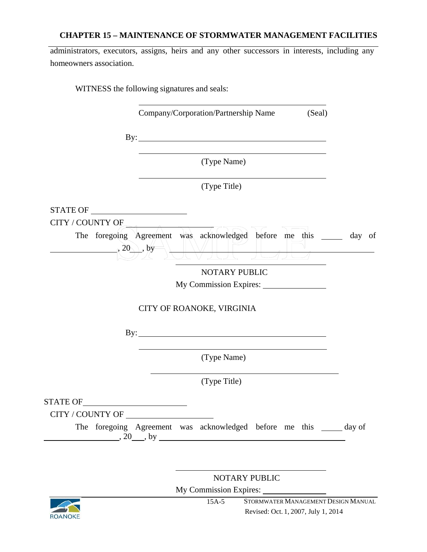## **CHAPTER 15 – MAINTENANCE OF STORMWATER MANAGEMENT FACILITIES**

administrators, executors, assigns, heirs and any other successors in interests, including any homeowners association.

WITNESS the following signatures and seals:

Company/Corporation/Partnership Name (Seal)

By:

(Type Name)

(Type Title)

STATE OF

CITY / COUNTY OF

The foregoing Agreement was acknowledged before me this \_\_\_\_\_ day of , and  $(20\sqrt{2}, \text{by}^{\text{max}})$  $\sum_{i=1}^n \frac{1}{2} \left[ \sum_{j=1}^n \frac{1}{2} \left[ \sum_{j=1}^n \frac{1}{2} \left[ \sum_{j=1}^n \frac{1}{2} \right] \right] \right]^{n-1}$ 

NOTARY PUBLIC

My Commission Expires:

## CITY OF ROANOKE, VIRGINIA

By: <u>second</u> contract the second contract of the second contract of the second contract of the second contract of the second contract of the second contract of the second contract of the second contract of the second contr

(Type Name)

(Type Title)

STATE OF

CITY / COUNTY OF

The foregoing Agreement was acknowledged before me this \_\_\_\_\_ day of  $, 20 \_$ , by

NOTARY PUBLIC

My Commission Expires:



15A-5 STORMWATER MANAGEMENT DESIGN MANUAL Revised: Oct. 1, 2007, July 1, 2014